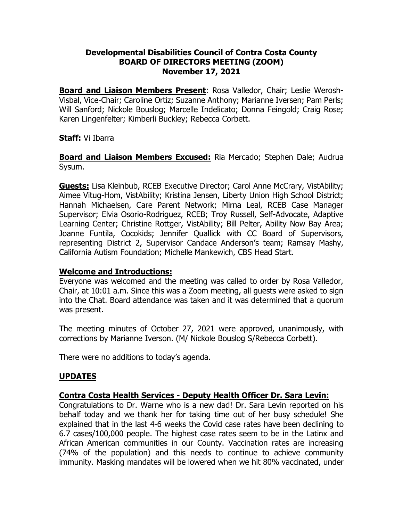### **Developmental Disabilities Council of Contra Costa County BOARD OF DIRECTORS MEETING (ZOOM) November 17, 2021**

**Board and Liaison Members Present**: Rosa Valledor, Chair; Leslie Werosh-Visbal, Vice-Chair; Caroline Ortiz; Suzanne Anthony; Marianne Iversen; Pam Perls; Will Sanford; Nickole Bouslog; Marcelle Indelicato; Donna Feingold; Craig Rose; Karen Lingenfelter; Kimberli Buckley; Rebecca Corbett.

### **Staff:** Vi Ibarra

**Board and Liaison Members Excused:** Ria Mercado; Stephen Dale; Audrua Sysum.

**Guests:** Lisa Kleinbub, RCEB Executive Director; Carol Anne McCrary, VistAbility; Aimee Vitug-Hom, VistAbility; Kristina Jensen, Liberty Union High School District; Hannah Michaelsen, Care Parent Network; Mirna Leal, RCEB Case Manager Supervisor; Elvia Osorio-Rodriguez, RCEB; Troy Russell, Self-Advocate, Adaptive Learning Center; Christine Rottger, VistAbility; Bill Pelter, Ability Now Bay Area; Joanne Funtila, Cocokids; Jennifer Quallick with CC Board of Supervisors, representing District 2, Supervisor Candace Anderson's team; Ramsay Mashy, California Autism Foundation; Michelle Mankewich, CBS Head Start.

### **Welcome and Introductions:**

Everyone was welcomed and the meeting was called to order by Rosa Valledor, Chair, at 10:01 a.m. Since this was a Zoom meeting, all guests were asked to sign into the Chat. Board attendance was taken and it was determined that a quorum was present.

The meeting minutes of October 27, 2021 were approved, unanimously, with corrections by Marianne Iverson. (M/ Nickole Bouslog S/Rebecca Corbett).

There were no additions to today's agenda.

### **UPDATES**

### **Contra Costa Health Services - Deputy Health Officer Dr. Sara Levin:**

Congratulations to Dr. Warne who is a new dad! Dr. Sara Levin reported on his behalf today and we thank her for taking time out of her busy schedule! She explained that in the last 4-6 weeks the Covid case rates have been declining to 6.7 cases/100,000 people. The highest case rates seem to be in the Latinx and African American communities in our County. Vaccination rates are increasing (74% of the population) and this needs to continue to achieve community immunity. Masking mandates will be lowered when we hit 80% vaccinated, under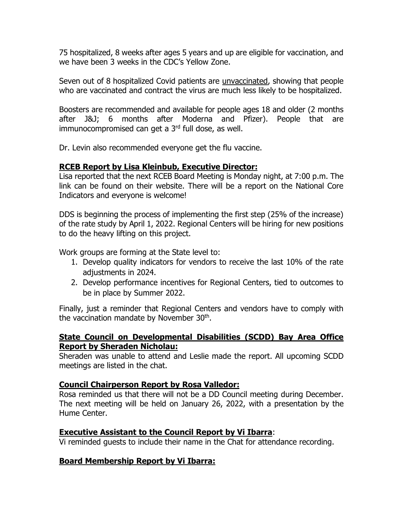75 hospitalized, 8 weeks after ages 5 years and up are eligible for vaccination, and we have been 3 weeks in the CDC's Yellow Zone.

Seven out of 8 hospitalized Covid patients are unvaccinated, showing that people who are vaccinated and contract the virus are much less likely to be hospitalized.

Boosters are recommended and available for people ages 18 and older (2 months after J&J; 6 months after Moderna and Pfizer). People that are immunocompromised can get a 3<sup>rd</sup> full dose, as well.

Dr. Levin also recommended everyone get the flu vaccine.

### **RCEB Report by Lisa Kleinbub, Executive Director:**

Lisa reported that the next RCEB Board Meeting is Monday night, at 7:00 p.m. The link can be found on their website. There will be a report on the National Core Indicators and everyone is welcome!

DDS is beginning the process of implementing the first step (25% of the increase) of the rate study by April 1, 2022. Regional Centers will be hiring for new positions to do the heavy lifting on this project.

Work groups are forming at the State level to:

- 1. Develop quality indicators for vendors to receive the last 10% of the rate adjustments in 2024.
- 2. Develop performance incentives for Regional Centers, tied to outcomes to be in place by Summer 2022.

Finally, just a reminder that Regional Centers and vendors have to comply with the vaccination mandate by November 30th.

#### **State Council on Developmental Disabilities (SCDD) Bay Area Office Report by Sheraden Nicholau:**

Sheraden was unable to attend and Leslie made the report. All upcoming SCDD meetings are listed in the chat.

### **Council Chairperson Report by Rosa Valledor:**

Rosa reminded us that there will not be a DD Council meeting during December. The next meeting will be held on January 26, 2022, with a presentation by the Hume Center.

### **Executive Assistant to the Council Report by Vi Ibarra**:

Vi reminded guests to include their name in the Chat for attendance recording.

# **Board Membership Report by Vi Ibarra:**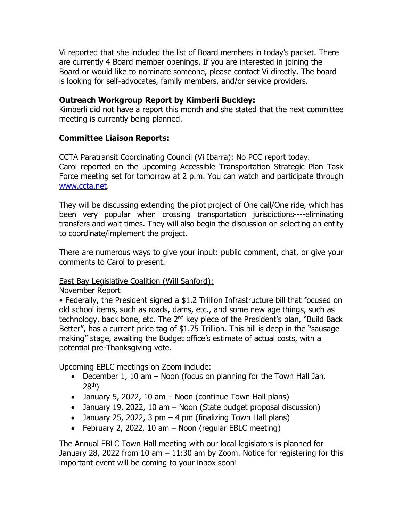Vi reported that she included the list of Board members in today's packet. There are currently 4 Board member openings. If you are interested in joining the Board or would like to nominate someone, please contact Vi directly. The board is looking for self-advocates, family members, and/or service providers.

### **Outreach Workgroup Report by Kimberli Buckley:**

Kimberli did not have a report this month and she stated that the next committee meeting is currently being planned.

## **Committee Liaison Reports:**

CCTA Paratransit Coordinating Council (Vi Ibarra): No PCC report today.

Carol reported on the upcoming Accessible Transportation Strategic Plan Task Force meeting set for tomorrow at 2 p.m. You can watch and participate through [www.ccta.net.](http://www.ccta.net/)

They will be discussing extending the pilot project of One call/One ride, which has been very popular when crossing transportation jurisdictions----eliminating transfers and wait times. They will also begin the discussion on selecting an entity to coordinate/implement the project.

There are numerous ways to give your input: public comment, chat, or give your comments to Carol to present.

### East Bay Legislative Coalition (Will Sanford):

November Report

• Federally, the President signed a \$1.2 Trillion Infrastructure bill that focused on old school items, such as roads, dams, etc., and some new age things, such as technology, back bone, etc. The 2<sup>nd</sup> key piece of the President's plan, "Build Back Better", has a current price tag of \$1.75 Trillion. This bill is deep in the "sausage making" stage, awaiting the Budget office's estimate of actual costs, with a potential pre-Thanksgiving vote.

Upcoming EBLC meetings on Zoom include:

- December 1, 10 am Noon (focus on planning for the Town Hall Jan. 28th)
- January 5, 2022, 10 am Noon (continue Town Hall plans)
- January 19, 2022, 10 am Noon (State budget proposal discussion)
- January 25, 2022, 3 pm  $-$  4 pm (finalizing Town Hall plans)
- February 2, 2022, 10 am  $-$  Noon (regular EBLC meeting)

The Annual EBLC Town Hall meeting with our local legislators is planned for January 28, 2022 from 10 am  $-11:30$  am by Zoom. Notice for registering for this important event will be coming to your inbox soon!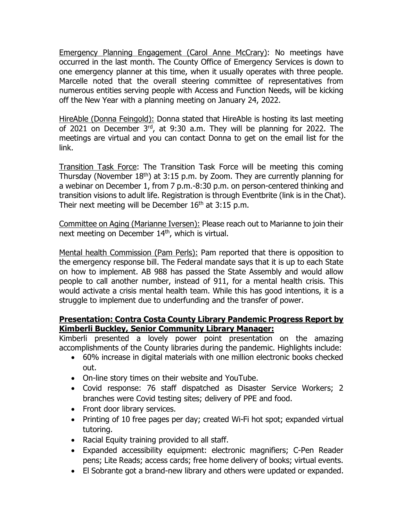Emergency Planning Engagement (Carol Anne McCrary): No meetings have occurred in the last month. The County Office of Emergency Services is down to one emergency planner at this time, when it usually operates with three people. Marcelle noted that the overall steering committee of representatives from numerous entities serving people with Access and Function Needs, will be kicking off the New Year with a planning meeting on January 24, 2022.

HireAble (Donna Feingold): Donna stated that HireAble is hosting its last meeting of 2021 on December 3rd, at 9:30 a.m. They will be planning for 2022. The meetings are virtual and you can contact Donna to get on the email list for the link.

Transition Task Force: The Transition Task Force will be meeting this coming Thursday (November  $18<sup>th</sup>$ ) at 3:15 p.m. by Zoom. They are currently planning for a webinar on December 1, from 7 p.m.-8:30 p.m. on person-centered thinking and transition visions to adult life. Registration is through Eventbrite (link is in the Chat). Their next meeting will be December  $16<sup>th</sup>$  at 3:15 p.m.

Committee on Aging (Marianne Iversen): Please reach out to Marianne to join their next meeting on December 14<sup>th</sup>, which is virtual.

Mental health Commission (Pam Perls): Pam reported that there is opposition to the emergency response bill. The Federal mandate says that it is up to each State on how to implement. AB 988 has passed the State Assembly and would allow people to call another number, instead of 911, for a mental health crisis. This would activate a crisis mental health team. While this has good intentions, it is a struggle to implement due to underfunding and the transfer of power.

### **Presentation: Contra Costa County Library Pandemic Progress Report by Kimberli Buckley, Senior Community Library Manager:**

Kimberli presented a lovely power point presentation on the amazing accomplishments of the County libraries during the pandemic. Highlights include:

- 60% increase in digital materials with one million electronic books checked out.
- On-line story times on their website and YouTube.
- Covid response: 76 staff dispatched as Disaster Service Workers; 2 branches were Covid testing sites; delivery of PPE and food.
- Front door library services.
- Printing of 10 free pages per day; created Wi-Fi hot spot; expanded virtual tutoring.
- Racial Equity training provided to all staff.
- Expanded accessibility equipment: electronic magnifiers; C-Pen Reader pens; Lite Reads; access cards; free home delivery of books; virtual events.
- El Sobrante got a brand-new library and others were updated or expanded.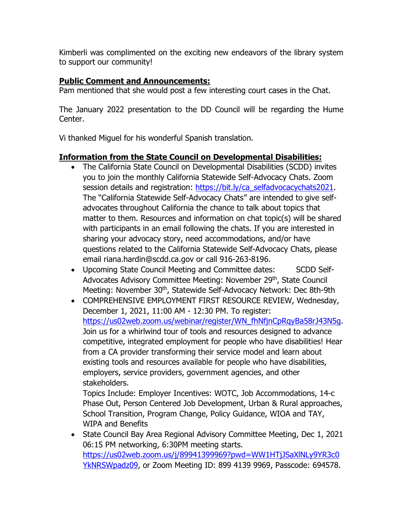Kimberli was complimented on the exciting new endeavors of the library system to support our community!

# **Public Comment and Announcements:**

Pam mentioned that she would post a few interesting court cases in the Chat.

The January 2022 presentation to the DD Council will be regarding the Hume Center.

Vi thanked Miguel for his wonderful Spanish translation.

# **Information from the State Council on Developmental Disabilities:**

- The California State Council on Developmental Disabilities (SCDD) invites you to join the monthly California Statewide Self-Advocacy Chats. Zoom session details and registration: [https://bit.ly/ca\\_selfadvocacychats2021.](https://bit.ly/ca_selfadvocacychats2021) The "California Statewide Self-Advocacy Chats" are intended to give selfadvocates throughout California the chance to talk about topics that matter to them. Resources and information on chat topic(s) will be shared with participants in an email following the chats. If you are interested in sharing your advocacy story, need accommodations, and/or have questions related to the California Statewide Self-Advocacy Chats, please email riana.hardin@scdd.ca.gov or call 916-263-8196.
- Upcoming State Council Meeting and Committee dates: SCDD Self-Advocates Advisory Committee Meeting: November 29<sup>th</sup>, State Council Meeting: November 30<sup>th</sup>, Statewide Self-Advocacy Network: Dec 8th-9th
- COMPREHENSIVE EMPLOYMENT FIRST RESOURCE REVIEW, Wednesday, December 1, 2021, 11:00 AM - 12:30 PM. To register: [https://us02web.zoom.us/webinar/register/WN\\_fhNfjnCpRqyBa58rJ43N5g.](https://us02web.zoom.us/webinar/register/WN_fhNfjnCpRqyBa58rJ43N5g) Join us for a whirlwind tour of tools and resources designed to advance competitive, integrated employment for people who have disabilities! Hear from a CA provider transforming their service model and learn about existing tools and resources available for people who have disabilities, employers, service providers, government agencies, and other stakeholders.

Topics Include: Employer Incentives: WOTC, Job Accommodations, 14-c Phase Out, Person Centered Job Development, Urban & Rural approaches, School Transition, Program Change, Policy Guidance, WIOA and TAY, WIPA and Benefits

• State Council Bay Area Regional Advisory Committee Meeting, Dec 1, 2021 06:15 PM networking, 6:30PM meeting starts. [https://us02web.zoom.us/j/89941399969?pwd=WW1HTjJSaXlNLy9YR3c0](https://us02web.zoom.us/j/89941399969?pwd=WW1HTjJSaXlNLy9YR3c0YkNRSWpadz09) [YkNRSWpadz09,](https://us02web.zoom.us/j/89941399969?pwd=WW1HTjJSaXlNLy9YR3c0YkNRSWpadz09) or Zoom Meeting ID: 899 4139 9969, Passcode: 694578.